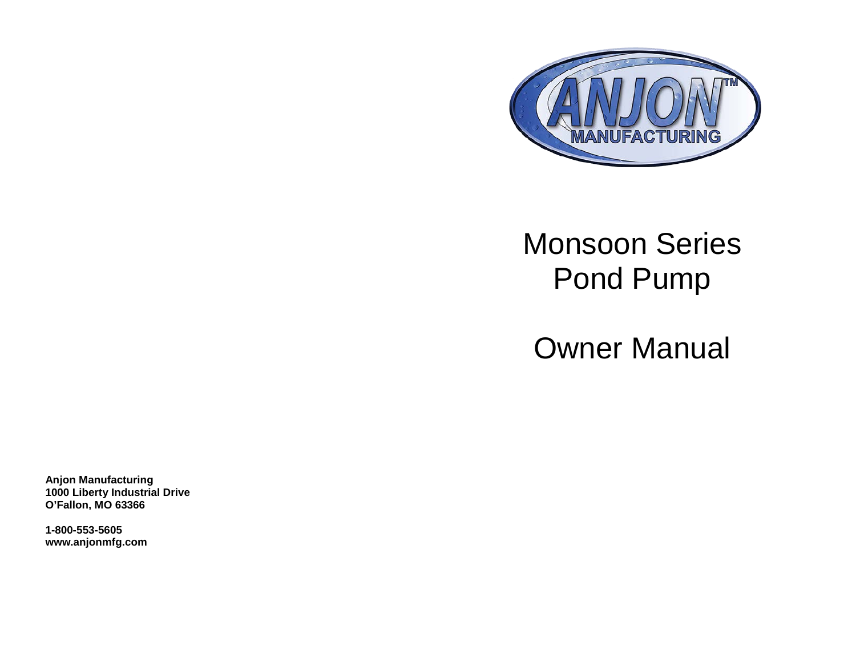

# Monsoon Series Pond Pump

Owner Manual

**Anjon Manufacturing 1000 Liberty Industrial Drive O'Fallon, MO 63366**

**1-800-553-5605 www.anjonmfg.com**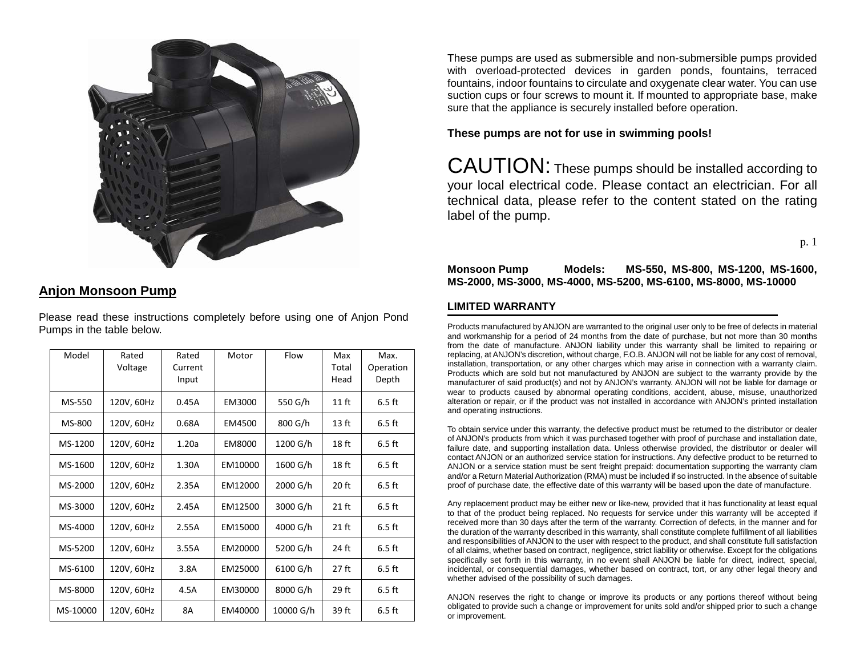

# **Anjon Monsoon Pump**

Please read these instructions completely before using one of Anjon Pond Pumps in the table below.

| Model    | Rated<br>Voltage | Rated<br>Current<br>Input | Motor   | Flow      | Max<br>Total<br>Head | Max.<br>Operation<br>Depth |
|----------|------------------|---------------------------|---------|-----------|----------------------|----------------------------|
| MS-550   | 120V, 60Hz       | 0.45A                     | EM3000  | 550 G/h   | $11$ ft              | $6.5$ ft                   |
| MS-800   | 120V, 60Hz       | 0.68A                     | EM4500  | 800 G/h   | 13 <sub>ft</sub>     | $6.5$ ft                   |
| MS-1200  | 120V, 60Hz       | 1.20a                     | EM8000  | 1200 G/h  | 18 ft                | $6.5$ ft                   |
| MS-1600  | 120V, 60Hz       | 1.30A                     | EM10000 | 1600 G/h  | 18 ft                | $6.5$ ft                   |
| MS-2000  | 120V, 60Hz       | 2.35A                     | EM12000 | 2000 G/h  | $20$ ft              | $6.5$ ft                   |
| MS-3000  | 120V, 60Hz       | 2.45A                     | EM12500 | 3000 G/h  | $21$ ft              | $6.5$ ft                   |
| MS-4000  | 120V, 60Hz       | 2.55A                     | EM15000 | 4000 G/h  | $21$ ft              | $6.5$ ft                   |
| MS-5200  | 120V, 60Hz       | 3.55A                     | EM20000 | 5200 G/h  | 24 ft                | $6.5$ ft                   |
| MS-6100  | 120V, 60Hz       | 3.8A                      | EM25000 | 6100 G/h  | $27$ ft              | $6.5$ ft                   |
| MS-8000  | 120V, 60Hz       | 4.5A                      | EM30000 | 8000 G/h  | 29 ft                | $6.5$ ft                   |
| MS-10000 | 120V, 60Hz       | 8A                        | EM40000 | 10000 G/h | 39 ft                | $6.5$ ft                   |

These pumps are used as submersible and non-submersible pumps provided with overload-protected devices in garden ponds, fountains, terraced fountains, indoor fountains to circulate and oxygenate clear water. You can use suction cups or four screws to mount it. If mounted to appropriate base, make sure that the appliance is securely installed before operation.

#### **These pumps are not for use in swimming pools!**

CAUTION: These pumps should be installed according to your local electrical code. Please contact an electrician. For all technical data, please refer to the content stated on the rating label of the pump.

p. 1

#### **Monsoon Pump Models: MS-550, MS-800, MS-1200, MS-1600, MS-2000, MS-3000, MS-4000, MS-5200, MS-6100, MS-8000, MS-10000**

#### **LIMITED WARRANTY**

Products manufactured by ANJON are warranted to the original user only to be free of defects in material and workmanship for a period of 24 months from the date of purchase, but not more than 30 months from the date of manufacture. ANJON liability under this warranty shall be limited to repairing or replacing, at ANJON's discretion, without charge, F.O.B. ANJON will not be liable for any cost of removal, installation, transportation, or any other charges which may arise in connection with a warranty claim. Products which are sold but not manufactured by ANJON are subject to the warranty provide by the manufacturer of said product(s) and not by ANJON's warranty. ANJON will not be liable for damage or wear to products caused by abnormal operating conditions, accident, abuse, misuse, unauthorized alteration or repair, or if the product was not installed in accordance with ANJON's printed installation and operating instructions.

To obtain service under this warranty, the defective product must be returned to the distributor or dealer of ANJON's products from which it was purchased together with proof of purchase and installation date, failure date, and supporting installation data. Unless otherwise provided, the distributor or dealer will contact ANJON or an authorized service station for instructions. Any defective product to be returned to ANJON or a service station must be sent freight prepaid: documentation supporting the warranty clam and/or a Return Material Authorization (RMA) must be included if so instructed. In the absence of suitable proof of purchase date, the effective date of this warranty will be based upon the date of manufacture.

Any replacement product may be either new or like-new, provided that it has functionality at least equal to that of the product being replaced. No requests for service under this warranty will be accepted if received more than 30 days after the term of the warranty. Correction of defects, in the manner and for the duration of the warranty described in this warranty, shall constitute complete fulfillment of all liabilities and responsibilities of ANJON to the user with respect to the product, and shall constitute full satisfaction of all claims, whether based on contract, negligence, strict liability or otherwise. Except for the obligations specifically set forth in this warranty, in no event shall ANJON be liable for direct, indirect, special, incidental, or consequential damages, whether based on contract, tort, or any other legal theory and whether advised of the possibility of such damages.

ANJON reserves the right to change or improve its products or any portions thereof without being obligated to provide such a change or improvement for units sold and/or shipped prior to such a change or improvement.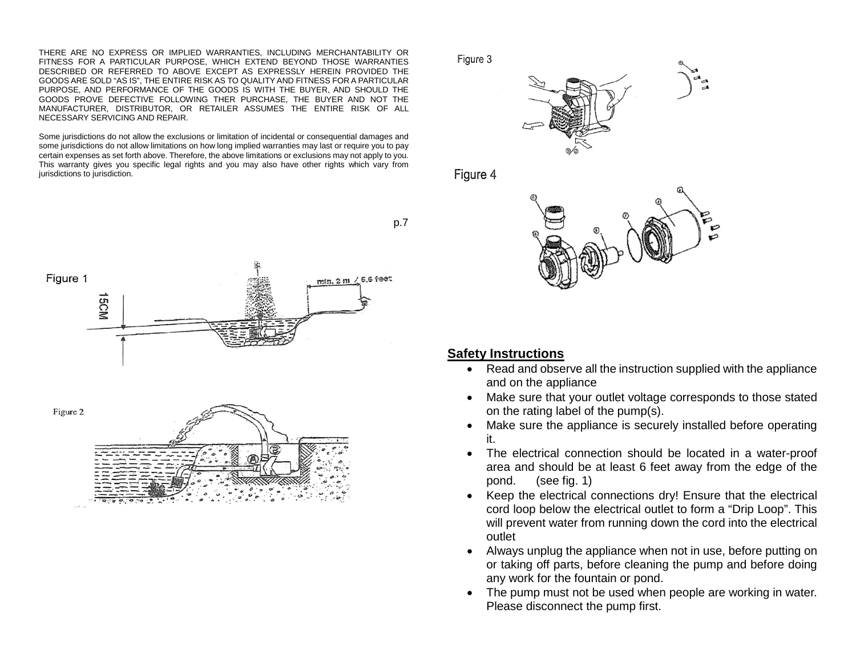THERE ARE NO EXPRESS OR IMPLIED WARRANTIES, INCLUDING MERCHANTABILITY OR FITNESS FOR A PARTICULAR PURPOSE, WHICH EXTEND BEYOND THOSE WARRANTIES DESCRIBED OR REFERRED TO ABOVE EXCEPT AS EXPRESSLY HEREIN PROVIDED THE GOODS ARE SOLD "AS IS", THE ENTIRE RISK AS TO QUALITY AND FITNESS FOR A PARTICULAR PURPOSE, AND PERFORMANCE OF THE GOODS IS WITH THE BUYER, AND SHOULD THE GOODS PROVE DEFECTIVE FOLLOWING THER PURCHASE, THE BUYER AND NOT THE MANUFACTURER, DISTRIBUTOR, OR RETAILER ASSUMES THE ENTIRE RISK OF ALL NECESSARY SERVICING AND REPAIR.

Some jurisdictions do not allow the exclusions or limitation of incidental or consequential damages and some jurisdictions do not allow limitations on how long implied warranties may last or require you to pay certain expenses as set forth above. Therefore, the above limitations or exclusions may not apply to you. This warranty gives you specific legal rights and you may also have other rights which vary from jurisdictions to jurisdiction.





Figure 3



Figure 4



#### **Safety Instructions**

- Read and observe all the instruction supplied with the appliance and on the appliance
- Make sure that your outlet voltage corresponds to those stated on the rating label of the pump(s).
- Make sure the appliance is securely installed before operating it.
- The electrical connection should be located in a water-proof area and should be at least 6 feet away from the edge of the pond. (see fig. 1)
- Keep the electrical connections dry! Ensure that the electrical cord loop below the electrical outlet to form a "Drip Loop". This will prevent water from running down the cord into the electrical outlet
- Always unplug the appliance when not in use, before putting on or taking off parts, before cleaning the pump and before doing any work for the fountain or pond.
- The pump must not be used when people are working in water. Please disconnect the pump first.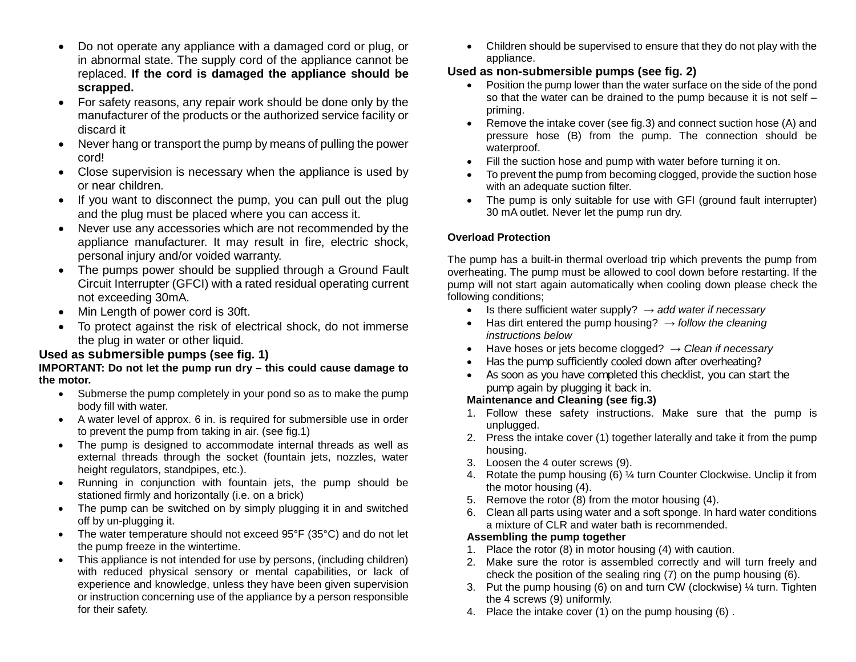- Do not operate any appliance with a damaged cord or plug, or in abnormal state. The supply cord of the appliance cannot be replaced. **If the cord is damaged the appliance should be scrapped.**
- For safety reasons, any repair work should be done only by the manufacturer of the products or the authorized service facility or discard it
- Never hang or transport the pump by means of pulling the power cord!
- Close supervision is necessary when the appliance is used by or near children.
- If you want to disconnect the pump, you can pull out the plug and the plug must be placed where you can access it.
- Never use any accessories which are not recommended by the appliance manufacturer. It may result in fire, electric shock, personal injury and/or voided warranty.
- The pumps power should be supplied through a Ground Fault Circuit Interrupter (GFCI) with a rated residual operating current not exceeding 30mA.
- Min Length of power cord is 30ft.
- To protect against the risk of electrical shock, do not immerse the plug in water or other liquid.

# **Used as submersible pumps (see fig. 1)**

#### **IMPORTANT: Do not let the pump run dry – this could cause damage to the motor.**

- Submerse the pump completely in your pond so as to make the pump body fill with water.
- A water level of approx. 6 in. is required for submersible use in order to prevent the pump from taking in air. (see fig.1)
- The pump is designed to accommodate internal threads as well as external threads through the socket (fountain jets, nozzles, water height regulators, standpipes, etc.).
- Running in conjunction with fountain jets, the pump should be stationed firmly and horizontally (i.e. on a brick)
- The pump can be switched on by simply plugging it in and switched off by un-plugging it.
- The water temperature should not exceed 95°F (35°C) and do not let the pump freeze in the wintertime.
- This appliance is not intended for use by persons, (including children) with reduced physical sensory or mental capabilities, or lack of experience and knowledge, unless they have been given supervision or instruction concerning use of the appliance by a person responsible for their safety.

• Children should be supervised to ensure that they do not play with the appliance.

# **Used as non-submersible pumps (see fig. 2)**

- Position the pump lower than the water surface on the side of the pond so that the water can be drained to the pump because it is not self – priming.
- Remove the intake cover (see fig.3) and connect suction hose (A) and pressure hose (B) from the pump. The connection should be waterproof.
- Fill the suction hose and pump with water before turning it on.
- To prevent the pump from becoming clogged, provide the suction hose with an adequate suction filter.
- The pump is only suitable for use with GFI (ground fault interrupter) 30 mA outlet. Never let the pump run dry.

# **Overload Protection**

The pump has a built-in thermal overload trip which prevents the pump from overheating. The pump must be allowed to cool down before restarting. If the pump will not start again automatically when cooling down please check the following conditions;

- Is there sufficient water supply?  $\rightarrow$  *add water if necessary*
- Has dirt entered the pump housing?  $\rightarrow$  *follow the cleaning instructions below*
- Have hoses or jets become clogged? → *Clean if necessary*
- Has the pump sufficiently cooled down after overheating?
- As soon as you have completed this checklist, you can start the pump again by plugging it back in.

## **Maintenance and Cleaning (see fig.3)**

- 1. Follow these safety instructions. Make sure that the pump is unplugged.
- 2. Press the intake cover (1) together laterally and take it from the pump housing.
- 3. Loosen the 4 outer screws (9).
- 4. Rotate the pump housing (6) ¼ turn Counter Clockwise. Unclip it from the motor housing (4).
- 5. Remove the rotor (8) from the motor housing (4).
- 6. Clean all parts using water and a soft sponge. In hard water conditions a mixture of CLR and water bath is recommended.

## **Assembling the pump together**

- 1. Place the rotor (8) in motor housing (4) with caution.
- 2. Make sure the rotor is assembled correctly and will turn freely and check the position of the sealing ring (7) on the pump housing (6).
- 3. Put the pump housing (6) on and turn CW (clockwise) ¼ turn. Tighten the 4 screws (9) uniformly.
- 4. Place the intake cover (1) on the pump housing (6) .